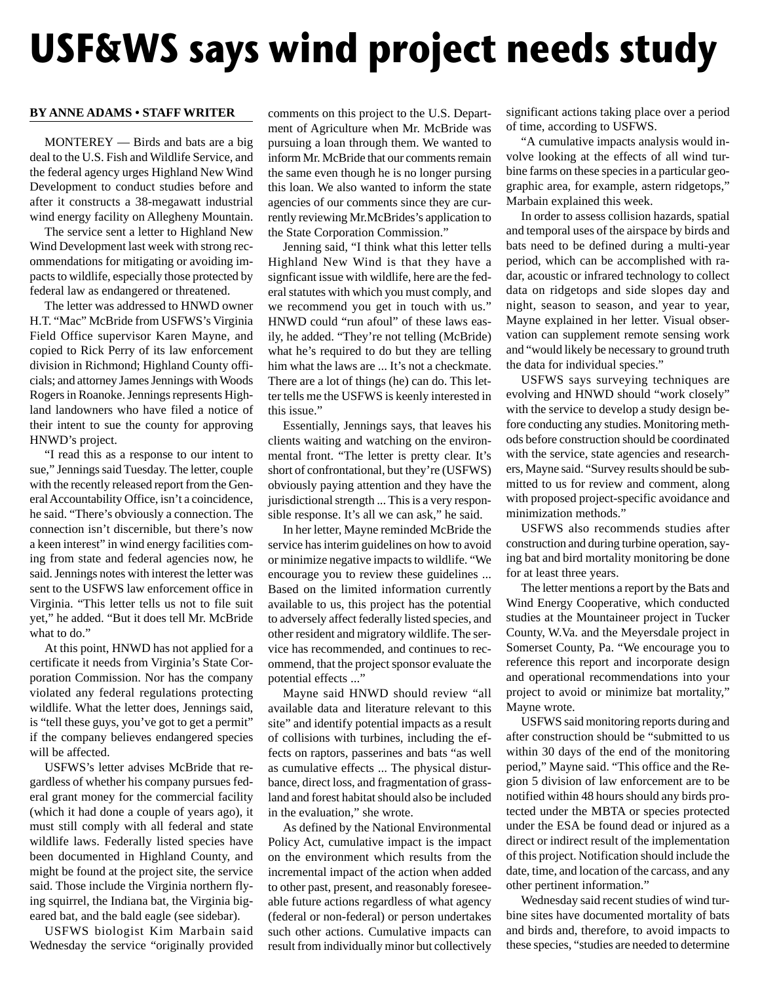# **USF&WS says wind project needs study**

# **BY ANNE ADAMS • STAFF WRITER**

MONTEREY — Birds and bats are a big deal to the U.S. Fish and Wildlife Service, and the federal agency urges Highland New Wind Development to conduct studies before and after it constructs a 38-megawatt industrial wind energy facility on Allegheny Mountain.

The service sent a letter to Highland New Wind Development last week with strong recommendations for mitigating or avoiding impacts to wildlife, especially those protected by federal law as endangered or threatened.

The letter was addressed to HNWD owner H.T. "Mac" McBride from USFWS's Virginia Field Office supervisor Karen Mayne, and copied to Rick Perry of its law enforcement division in Richmond; Highland County officials; and attorney James Jennings with Woods Rogers in Roanoke. Jennings represents Highland landowners who have filed a notice of their intent to sue the county for approving HNWD's project.

"I read this as a response to our intent to sue," Jennings said Tuesday. The letter, couple with the recently released report from the General Accountability Office, isn't a coincidence, he said. "There's obviously a connection. The connection isn't discernible, but there's now a keen interest" in wind energy facilities coming from state and federal agencies now, he said. Jennings notes with interest the letter was sent to the USFWS law enforcement office in Virginia. "This letter tells us not to file suit yet," he added. "But it does tell Mr. McBride what to do."

At this point, HNWD has not applied for a certificate it needs from Virginia's State Corporation Commission. Nor has the company violated any federal regulations protecting wildlife. What the letter does, Jennings said, is "tell these guys, you've got to get a permit" if the company believes endangered species will be affected.

USFWS's letter advises McBride that regardless of whether his company pursues federal grant money for the commercial facility (which it had done a couple of years ago), it must still comply with all federal and state wildlife laws. Federally listed species have been documented in Highland County, and might be found at the project site, the service said. Those include the Virginia northern flying squirrel, the Indiana bat, the Virginia bigeared bat, and the bald eagle (see sidebar).

USFWS biologist Kim Marbain said Wednesday the service "originally provided

comments on this project to the U.S. Department of Agriculture when Mr. McBride was pursuing a loan through them. We wanted to inform Mr. McBride that our comments remain the same even though he is no longer pursing this loan. We also wanted to inform the state agencies of our comments since they are currently reviewing Mr.McBrides's application to the State Corporation Commission."

Jenning said, "I think what this letter tells Highland New Wind is that they have a signficant issue with wildlife, here are the federal statutes with which you must comply, and we recommend you get in touch with us." HNWD could "run afoul" of these laws easily, he added. "They're not telling (McBride) what he's required to do but they are telling him what the laws are ... It's not a checkmate. There are a lot of things (he) can do. This letter tells me the USFWS is keenly interested in this issue."

Essentially, Jennings says, that leaves his clients waiting and watching on the environmental front. "The letter is pretty clear. It's short of confrontational, but they're (USFWS) obviously paying attention and they have the jurisdictional strength ... This is a very responsible response. It's all we can ask," he said.

In her letter, Mayne reminded McBride the service has interim guidelines on how to avoid or minimize negative impacts to wildlife. "We encourage you to review these guidelines ... Based on the limited information currently available to us, this project has the potential to adversely affect federally listed species, and other resident and migratory wildlife. The service has recommended, and continues to recommend, that the project sponsor evaluate the potential effects ..."

Mayne said HNWD should review "all available data and literature relevant to this site" and identify potential impacts as a result of collisions with turbines, including the effects on raptors, passerines and bats "as well as cumulative effects ... The physical disturbance, direct loss, and fragmentation of grassland and forest habitat should also be included in the evaluation," she wrote.

As defined by the National Environmental Policy Act, cumulative impact is the impact on the environment which results from the incremental impact of the action when added to other past, present, and reasonably foreseeable future actions regardless of what agency (federal or non-federal) or person undertakes such other actions. Cumulative impacts can result from individually minor but collectively

significant actions taking place over a period of time, according to USFWS.

"A cumulative impacts analysis would involve looking at the effects of all wind turbine farms on these species in a particular geographic area, for example, astern ridgetops," Marbain explained this week.

In order to assess collision hazards, spatial and temporal uses of the airspace by birds and bats need to be defined during a multi-year period, which can be accomplished with radar, acoustic or infrared technology to collect data on ridgetops and side slopes day and night, season to season, and year to year, Mayne explained in her letter. Visual observation can supplement remote sensing work and "would likely be necessary to ground truth the data for individual species."

USFWS says surveying techniques are evolving and HNWD should "work closely" with the service to develop a study design before conducting any studies. Monitoring methods before construction should be coordinated with the service, state agencies and researchers, Mayne said. "Survey results should be submitted to us for review and comment, along with proposed project-specific avoidance and minimization methods."

USFWS also recommends studies after construction and during turbine operation, saying bat and bird mortality monitoring be done for at least three years.

The letter mentions a report by the Bats and Wind Energy Cooperative, which conducted studies at the Mountaineer project in Tucker County, W.Va. and the Meyersdale project in Somerset County, Pa. "We encourage you to reference this report and incorporate design and operational recommendations into your project to avoid or minimize bat mortality," Mayne wrote.

USFWS said monitoring reports during and after construction should be "submitted to us within 30 days of the end of the monitoring period," Mayne said. "This office and the Region 5 division of law enforcement are to be notified within 48 hours should any birds protected under the MBTA or species protected under the ESA be found dead or injured as a direct or indirect result of the implementation of this project. Notification should include the date, time, and location of the carcass, and any other pertinent information."

Wednesday said recent studies of wind turbine sites have documented mortality of bats and birds and, therefore, to avoid impacts to these species, "studies are needed to determine